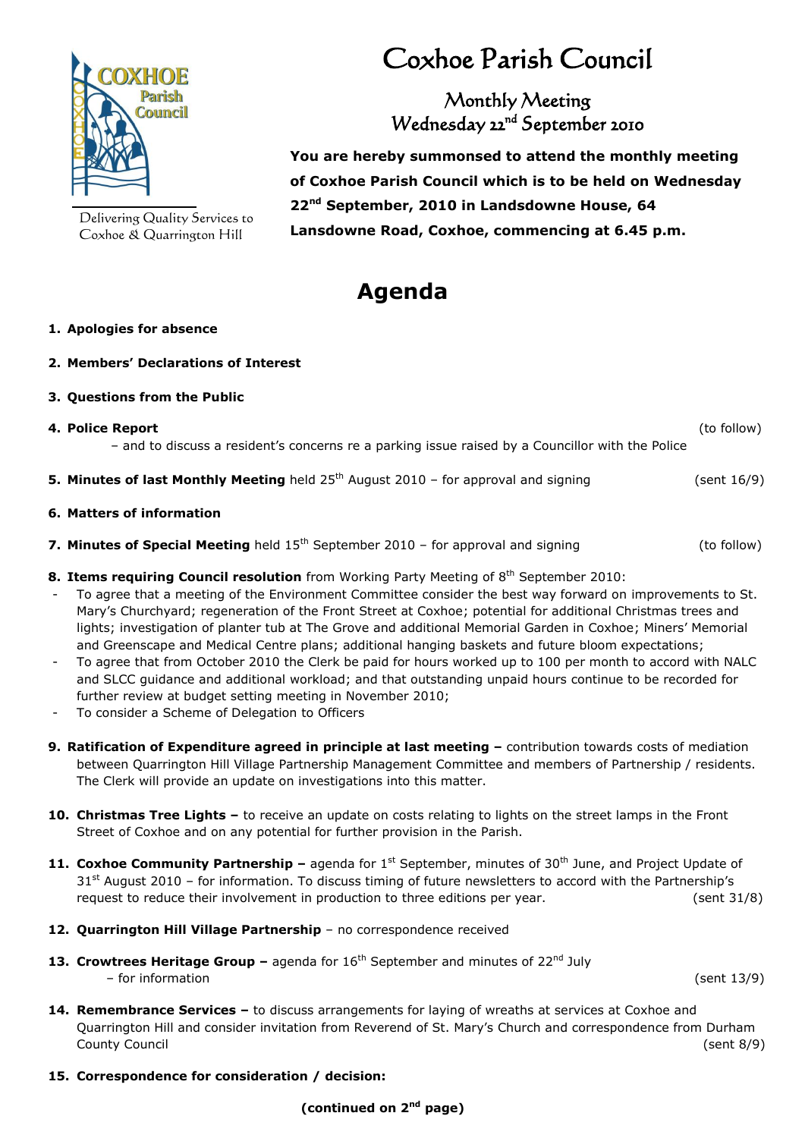

Delivering Quality Services to Coxhoe & Quarrington Hill

# Coxhoe Parish Council

Monthly Meeting Wednesday 22<sup>nd</sup> September 2010

 **You are hereby summonsed to attend the monthly meeting of Coxhoe Parish Council which is to be held on Wednesday 22nd September, 2010 in Landsdowne House, 64 Lansdowne Road, Coxhoe, commencing at 6.45 p.m.**

## **Agenda**

### **1. Apologies for absence**

**2. Members' Declarations of Interest**

### **3. Questions from the Public**

- **4. Police Report** (to follow) – and to discuss a resident's concerns re a parking issue raised by a Councillor with the Police **5. Minutes of last Monthly Meeting** held 25<sup>th</sup> August 2010 – for approval and signing (sent 16/9) **6. Matters of information 7. Minutes of Special Meeting** held 15<sup>th</sup> September 2010 – for approval and signing (to follow)
- 8. Items requiring Council resolution from Working Party Meeting of 8<sup>th</sup> September 2010:
- To agree that a meeting of the Environment Committee consider the best way forward on improvements to St. Mary's Churchyard; regeneration of the Front Street at Coxhoe; potential for additional Christmas trees and lights; investigation of planter tub at The Grove and additional Memorial Garden in Coxhoe; Miners' Memorial and Greenscape and Medical Centre plans; additional hanging baskets and future bloom expectations;
- To agree that from October 2010 the Clerk be paid for hours worked up to 100 per month to accord with NALC and SLCC guidance and additional workload; and that outstanding unpaid hours continue to be recorded for further review at budget setting meeting in November 2010;
- To consider a Scheme of Delegation to Officers
- **9. Ratification of Expenditure agreed in principle at last meeting –** contribution towards costs of mediation between Quarrington Hill Village Partnership Management Committee and members of Partnership / residents. The Clerk will provide an update on investigations into this matter.
- **10. Christmas Tree Lights –** to receive an update on costs relating to lights on the street lamps in the Front Street of Coxhoe and on any potential for further provision in the Parish.
- 11. Coxhoe Community Partnership agenda for 1<sup>st</sup> September, minutes of 30<sup>th</sup> June, and Project Update of  $31<sup>st</sup>$  August 2010 – for information. To discuss timing of future newsletters to accord with the Partnership's request to reduce their involvement in production to three editions per year. (sent 31/8)
- **12. Quarrington Hill Village Partnership**  no correspondence received
- **13. Crowtrees Heritage Group –** agenda for 16<sup>th</sup> September and minutes of 22<sup>nd</sup> July – for information (sent 13/9)
- **14. Remembrance Services –** to discuss arrangements for laying of wreaths at services at Coxhoe and Quarrington Hill and consider invitation from Reverend of St. Mary's Church and correspondence from Durham County Council (sent 8/9)
- **15. Correspondence for consideration / decision:**

**(continued on 2nd page)**